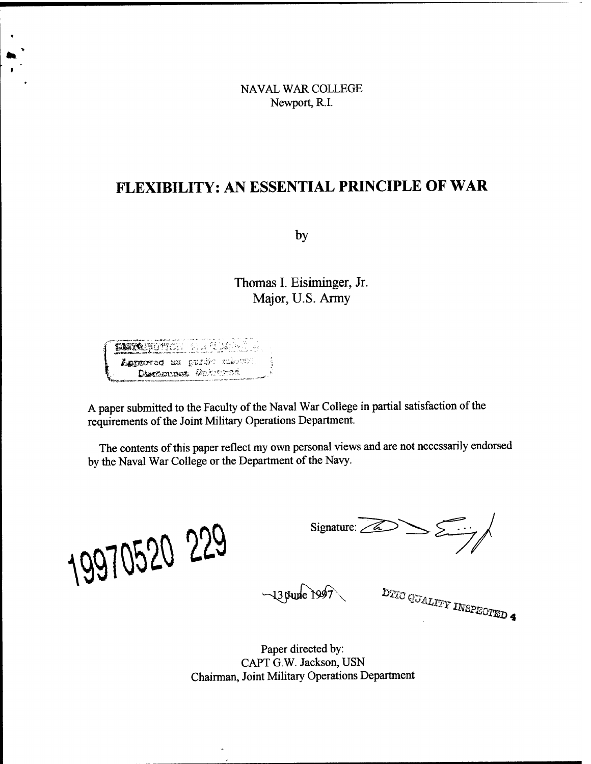NAVAL WAR COLLEGE Newport, R.I.

# **FLEXIBILITY: AN ESSENTIAL PRINCIPLE OF WAR**

**by**

**Thomas I. Eisiminger, Jr. Major, U.S. Army**

itition du tun Laptered in public relevation Distribution Columns

A paper submitted to the Faculty of the Naval War College in partial satisfaction of the requirements of the Joint Military Operations Department.

The contents of this paper reflect my own personal views and are not necessarily endorsed by the Naval War College or the Department of the Navy.

*\0&b*

 $-13$  pune 1997

Signature: 22

DTIC QUALITY INSPECTED 4

Paper directed by: CAPT G.W. Jackson, USN Chairman, Joint Military Operations Department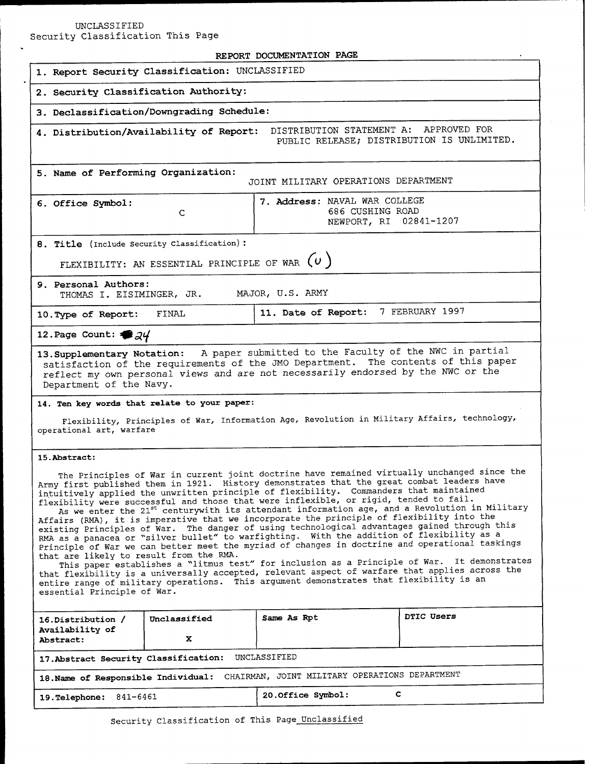# UNCLASSIFIED

Security Classification This Page

| REPORT DOCUMENTATION PAGE                                                                                                                                                                                                                                                                                                                                                                                                                                                                                                                                                                                                                                                                                                                                                                                                                                                                                                                                                                                                                                                                                                                                                                                                                                                  |              |                                                                             |            |  |
|----------------------------------------------------------------------------------------------------------------------------------------------------------------------------------------------------------------------------------------------------------------------------------------------------------------------------------------------------------------------------------------------------------------------------------------------------------------------------------------------------------------------------------------------------------------------------------------------------------------------------------------------------------------------------------------------------------------------------------------------------------------------------------------------------------------------------------------------------------------------------------------------------------------------------------------------------------------------------------------------------------------------------------------------------------------------------------------------------------------------------------------------------------------------------------------------------------------------------------------------------------------------------|--------------|-----------------------------------------------------------------------------|------------|--|
| 1. Report Security Classification: UNCLASSIFIED                                                                                                                                                                                                                                                                                                                                                                                                                                                                                                                                                                                                                                                                                                                                                                                                                                                                                                                                                                                                                                                                                                                                                                                                                            |              |                                                                             |            |  |
| 2. Security Classification Authority:                                                                                                                                                                                                                                                                                                                                                                                                                                                                                                                                                                                                                                                                                                                                                                                                                                                                                                                                                                                                                                                                                                                                                                                                                                      |              |                                                                             |            |  |
| 3. Declassification/Downgrading Schedule:                                                                                                                                                                                                                                                                                                                                                                                                                                                                                                                                                                                                                                                                                                                                                                                                                                                                                                                                                                                                                                                                                                                                                                                                                                  |              |                                                                             |            |  |
| DISTRIBUTION STATEMENT A: APPROVED FOR<br>4. Distribution/Availability of Report:<br>PUBLIC RELEASE; DISTRIBUTION IS UNLIMITED.                                                                                                                                                                                                                                                                                                                                                                                                                                                                                                                                                                                                                                                                                                                                                                                                                                                                                                                                                                                                                                                                                                                                            |              |                                                                             |            |  |
| 5. Name of Performing Organization:<br>JOINT MILITARY OPERATIONS DEPARTMENT                                                                                                                                                                                                                                                                                                                                                                                                                                                                                                                                                                                                                                                                                                                                                                                                                                                                                                                                                                                                                                                                                                                                                                                                |              |                                                                             |            |  |
| 6. Office Symbol:                                                                                                                                                                                                                                                                                                                                                                                                                                                                                                                                                                                                                                                                                                                                                                                                                                                                                                                                                                                                                                                                                                                                                                                                                                                          | C            | 7. Address: NAVAL WAR COLLEGE<br>686 CUSHING ROAD<br>NEWPORT, RI 02841-1207 |            |  |
| 8. Title (Include Security Classification):                                                                                                                                                                                                                                                                                                                                                                                                                                                                                                                                                                                                                                                                                                                                                                                                                                                                                                                                                                                                                                                                                                                                                                                                                                |              |                                                                             |            |  |
| FLEXIBILITY: AN ESSENTIAL PRINCIPLE OF WAR $(v)$                                                                                                                                                                                                                                                                                                                                                                                                                                                                                                                                                                                                                                                                                                                                                                                                                                                                                                                                                                                                                                                                                                                                                                                                                           |              |                                                                             |            |  |
| 9. Personal Authors:<br>MAJOR, U.S. ARMY<br>THOMAS I. EISIMINGER, JR.                                                                                                                                                                                                                                                                                                                                                                                                                                                                                                                                                                                                                                                                                                                                                                                                                                                                                                                                                                                                                                                                                                                                                                                                      |              |                                                                             |            |  |
| 10. Type of Report:                                                                                                                                                                                                                                                                                                                                                                                                                                                                                                                                                                                                                                                                                                                                                                                                                                                                                                                                                                                                                                                                                                                                                                                                                                                        | FINAL        | 11. Date of Report: 7 FEBRUARY 1997                                         |            |  |
| 12. Page Count: $\clubsuit$ 24                                                                                                                                                                                                                                                                                                                                                                                                                                                                                                                                                                                                                                                                                                                                                                                                                                                                                                                                                                                                                                                                                                                                                                                                                                             |              |                                                                             |            |  |
| 13. Supplementary Notation: A paper submitted to the Faculty of the NWC in partial<br>satisfaction of the requirements of the JMO Department. The contents of this paper<br>reflect my own personal views and are not necessarily endorsed by the NWC or the<br>Department of the Navy.<br>14. Ten key words that relate to your paper:                                                                                                                                                                                                                                                                                                                                                                                                                                                                                                                                                                                                                                                                                                                                                                                                                                                                                                                                    |              |                                                                             |            |  |
| Flexibility, Principles of War, Information Age, Revolution in Military Affairs, technology,<br>operational art, warfare                                                                                                                                                                                                                                                                                                                                                                                                                                                                                                                                                                                                                                                                                                                                                                                                                                                                                                                                                                                                                                                                                                                                                   |              |                                                                             |            |  |
| 15. Abstract:<br>The Principles of War in current joint doctrine have remained virtually unchanged since the<br>Army first published them in 1921. History demonstrates that the great combat leaders have<br>intuitively applied the unwritten principle of flexibility. Commanders that maintained<br>flexibility were successful and those that were inflexible, or rigid, tended to fail.<br>As we enter the 21 <sup>st</sup> centurywith its attendant information age, and a Revolution in Military<br>Affairs (RMA), it is imperative that we incorporate the principle of flexibility into the<br>existing Principles of War. The danger of using technological advantages gained through this<br>RMA as a panacea or "silver bullet" to warfighting. With the addition of flexibility as a<br>Principle of War we can better meet the myriad of changes in doctrine and operational taskings<br>that are likely to result from the RMA.<br>This paper establishes a "litmus test" for inclusion as a Principle of War. It demonstrates<br>that flexibility is a universally accepted, relevant aspect of warfare that applies across the<br>entire range of military operations. This argument demonstrates that flexibility is an<br>essential Principle of War. |              |                                                                             |            |  |
| 16.Distribution /                                                                                                                                                                                                                                                                                                                                                                                                                                                                                                                                                                                                                                                                                                                                                                                                                                                                                                                                                                                                                                                                                                                                                                                                                                                          | Unclassified | Same As Rpt                                                                 | DTIC Users |  |
| Availability of<br><b>Abstract:</b>                                                                                                                                                                                                                                                                                                                                                                                                                                                                                                                                                                                                                                                                                                                                                                                                                                                                                                                                                                                                                                                                                                                                                                                                                                        | x            |                                                                             |            |  |
| UNCLASSIFIED<br>17. Abstract Security Classification:                                                                                                                                                                                                                                                                                                                                                                                                                                                                                                                                                                                                                                                                                                                                                                                                                                                                                                                                                                                                                                                                                                                                                                                                                      |              |                                                                             |            |  |
| CHAIRMAN, JOINT MILITARY OPERATIONS DEPARTMENT<br>18. Name of Responsible Individual:                                                                                                                                                                                                                                                                                                                                                                                                                                                                                                                                                                                                                                                                                                                                                                                                                                                                                                                                                                                                                                                                                                                                                                                      |              |                                                                             |            |  |
| 841-6461<br><b>19. Telephone:</b>                                                                                                                                                                                                                                                                                                                                                                                                                                                                                                                                                                                                                                                                                                                                                                                                                                                                                                                                                                                                                                                                                                                                                                                                                                          |              | C.<br>20. Office Symbol:                                                    |            |  |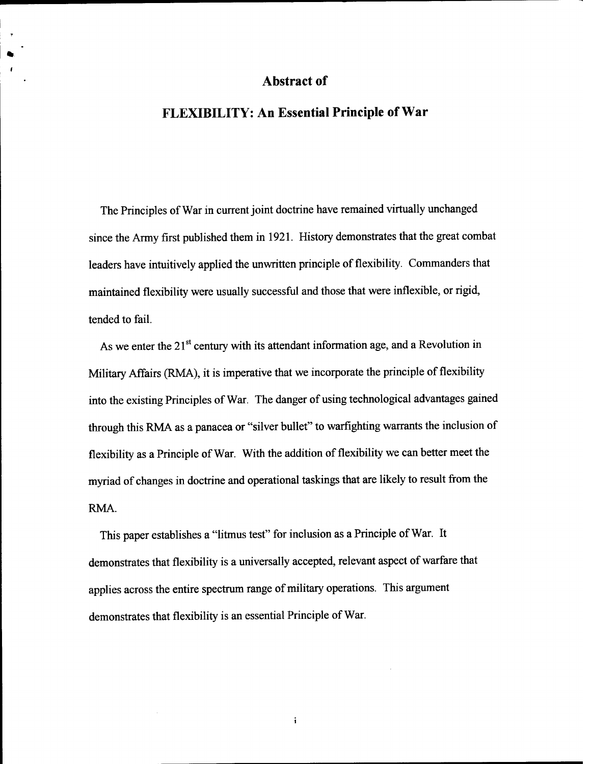## Abstract of

# FLEXIBILITY: An Essential Principle of War

The Principles of War in current joint doctrine have remained virtually unchanged since the Army first published them in 1921. History demonstrates that the great combat leaders have intuitively applied the unwritten principle of flexibility. Commanders that maintained flexibility were usually successful and those that were inflexible, or rigid, tended to fail.

As we enter the  $21^{st}$  century with its attendant information age, and a Revolution in Military Affairs (RMA), it is imperative that we incorporate the principle of flexibility into the existing Principles of War. The danger of using technological advantages gained through this RMA as a panacea or "silver bullet" to warfighting warrants the inclusion of flexibility as a Principle of War. With the addition of flexibility we can better meet the myriad of changes in doctrine and operational taskings that are likely to result from the RMA.

This paper establishes a "litmus test" for inclusion as a Principle of War. It demonstrates that flexibility is a universally accepted, relevant aspect of warfare that applies across the entire spectrum range of military operations. This argument demonstrates that flexibility is an essential Principle of War.

 $\mathbf i$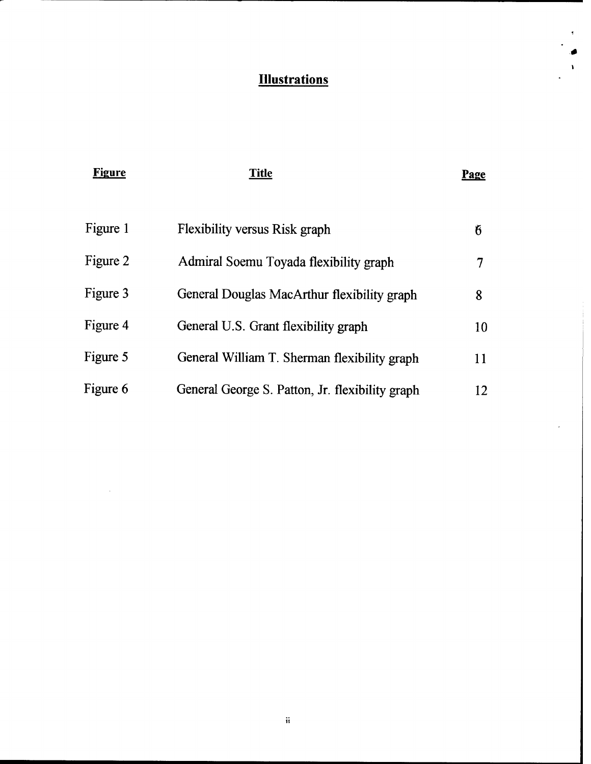# **Illustrations**

*,0*

| <b>Figure</b> | <b>Title</b>                                    | Page |
|---------------|-------------------------------------------------|------|
| Figure 1      | <b>Flexibility versus Risk graph</b>            | 6    |
| Figure 2      | Admiral Soemu Toyada flexibility graph          | 7    |
| Figure 3      | General Douglas MacArthur flexibility graph     | 8    |
| Figure 4      | General U.S. Grant flexibility graph            | 10   |
| Figure 5      | General William T. Sherman flexibility graph    | 11   |
| Figure 6      | General George S. Patton, Jr. flexibility graph | 12   |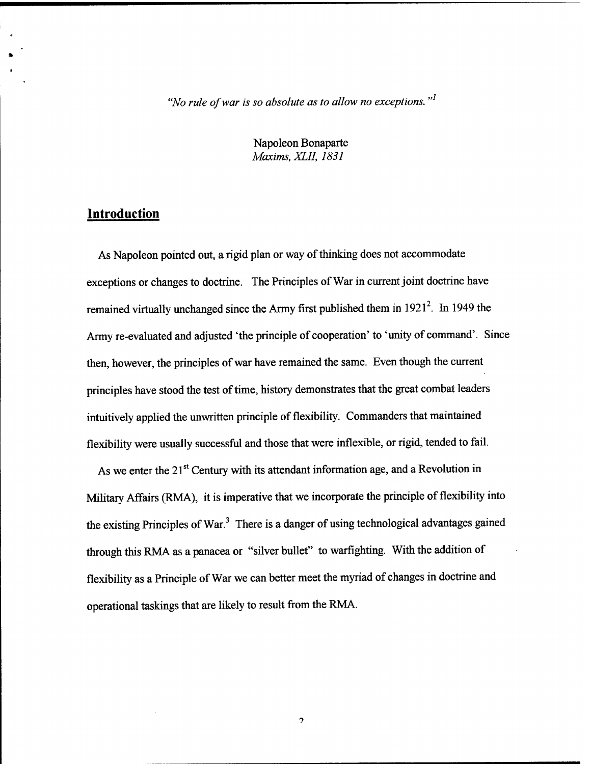'Wo *rule ofwar is so absolute as to allow no exceptions. "*

Napoleon Bonaparte *Maxims, XLII, 1831*

## **Introduction**

As Napoleon pointed out, a rigid plan or way of thinking does not accommodate exceptions or changes to doctrine. The Principles of War in current joint doctrine have remained virtually unchanged since the Army first published them in  $1921^2$ . In 1949 the Army re-evaluated and adjusted 'the principle of cooperation' to 'unity of command'. Since then, however, the principles of war have remained the same. Even though the current principles have stood the test of time, history demonstrates that the great combat leaders intuitively applied the unwritten principle of flexibility. Commanders that maintained flexibility were usually successful and those that were inflexible, or rigid, tended to fail.

As we enter the 21<sup>st</sup> Century with its attendant information age, and a Revolution in Military Affairs (RMA), it is imperative that we incorporate the principle of flexibility into the existing Principles of War. $3$  There is a danger of using technological advantages gained through this RMA as a panacea or "silver bullet" to warfighting. With the addition of flexibility as a Principle of War we can better meet the myriad of changes in doctrine and operational taskings that are likely to result from the RMA.

 $\overline{\mathcal{L}}$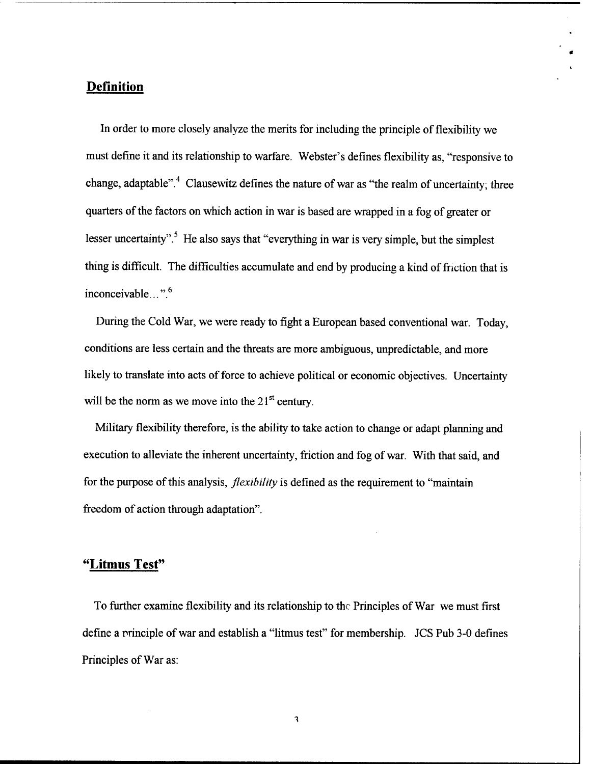## Definition

In order to more closely analyze the merits for including the principle of flexibility we must define it and its relationship to warfare. Webster's defines flexibility as, "responsive to change, adaptable".<sup>4</sup> Clausewitz defines the nature of war as "the realm of uncertainty; three quarters of the factors on which action in war is based are wrapped in a fog of greater or lesser uncertainty".<sup>5</sup> He also says that "everything in war is very simple, but the simplest thing is difficult. The difficulties accumulate and end by producing a kind of friction that is inconceivable...".<sup>6</sup>

During the Cold War, we were ready to fight a European based conventional war. Today, conditions are less certain and the threats are more ambiguous, unpredictable, and more likely to translate into acts of force to achieve political or economic objectives. Uncertainty will be the norm as we move into the  $21<sup>st</sup>$  century.

Military flexibility therefore, is the ability to take action to change or adapt planning and execution to alleviate the inherent uncertainty, friction and fog of war. With that said, and for the purpose of this analysis, *flexibility* is defined as the requirement to "maintain" freedom of action through adaptation".

## "Litmus Test"

To further examine flexibility and its relationship to the Principles of War we must first define a principle of war and establish a "litmus test" for membership. JCS Pub 3-0 defines Principles of War as:

 $\mathbf{3}$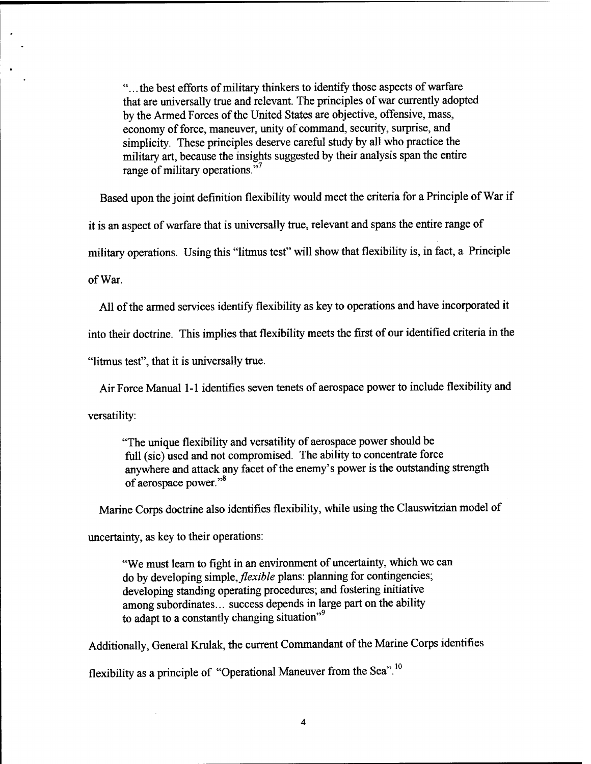"... the best efforts of military thinkers to identify those aspects of warfare that are universally true and relevant. The principles of war currently adopted by the Armed Forces of the United States are objective, offensive, mass, economy of force, maneuver, unity of command, security, surprise, and simplicity. These principles deserve careful study by all who practice the military art, because the insights suggested by their analysis span the entire range of military operations."<sup>7</sup>

Based upon the joint definition flexibility would meet the criteria for a Principle of War if

it is an aspect of warfare that is universally true, relevant and spans the entire range of

military operations. Using this "litmus test" will show that flexibility is, in fact, a Principle

ofWar.

All of the armed services identify flexibility as key to operations and have incorporated it

into their doctrine. This implies that flexibility meets the first of our identified criteria in the

"litmus test", that it is universally true.

Air Force Manual 1-1 identifies seven tenets of aerospace power to include flexibility and

versatility:

"The unique flexibility and versatility of aerospace power should be full (sic) used and not compromised. The ability to concentrate force anywhere and attack any facet of the enemy's power is the outstanding strength of aerospace power."<sup>8</sup>

Marine Corps doctrine also identifies flexibility, while using the Clauswitzian model of

uncertainty, as key to their operations:

"We must learn to fight in an environment of uncertainty, which we can do by developing simple,*flexible* plans: planning for contingencies; developing standing operating procedures; and fostering initiative among subordinates... success depends in large part on the ability to adapt to a constantly changing situation"<sup>9</sup>

Additionally, General Krulak, the current Commandant of the Marine Corps identifies

flexibility as a principle of "Operational Maneuver from the Sea". **<sup>10</sup>**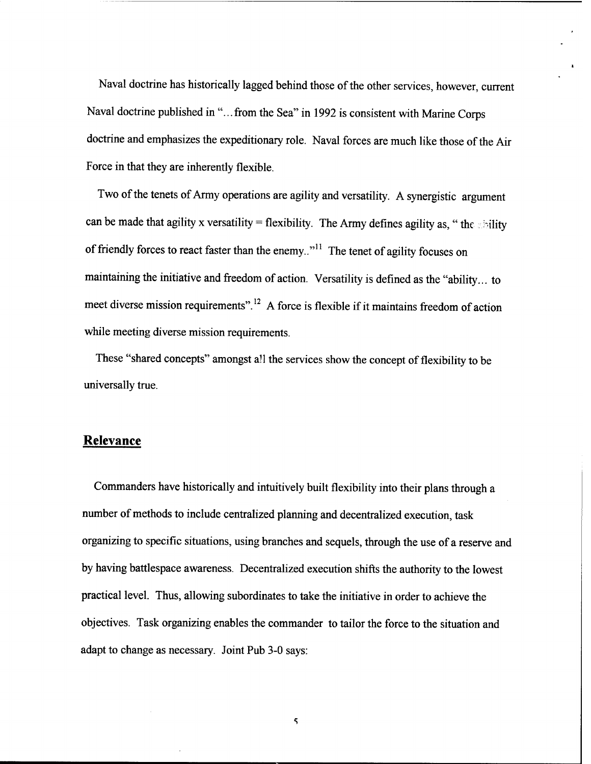Naval doctrine has historically lagged behind those of the other services, however, current Naval doctrine published in "... from the Sea" in 1992 is consistent with Marine Corps doctrine and emphasizes the expeditionary role. Naval forces are much like those of the Air Force in that they are inherently flexible.

Two of the tenets of Army operations are agility and versatility. A synergistic argument can be made that agility x versatility = flexibility. The Army defines agility as, "the shility of friendly forces to react faster than the enemy.."<sup>11</sup> The tenet of agility focuses on maintaining the initiative and freedom of action. Versatility is defined as the "ability... to meet diverse mission requirements".<sup>12</sup> A force is flexible if it maintains freedom of action while meeting diverse mission requirements.

These "shared concepts" amongst all the services show the concept of flexibility to be universally true.

## Relevance

Commanders have historically and intuitively built flexibility into their plans through a number of methods to include centralized planning and decentralized execution, task organizing to specific situations, using branches and sequels, through the use of a reserve and by having battlespace awareness. Decentralized execution shifts the authority to the lowest practical level. Thus, allowing subordinates to take the initiative in order to achieve the objectives. Task organizing enables the commander to tailor the force to the situation and adapt to change as necessary. Joint Pub 3-0 says:

 $\varsigma$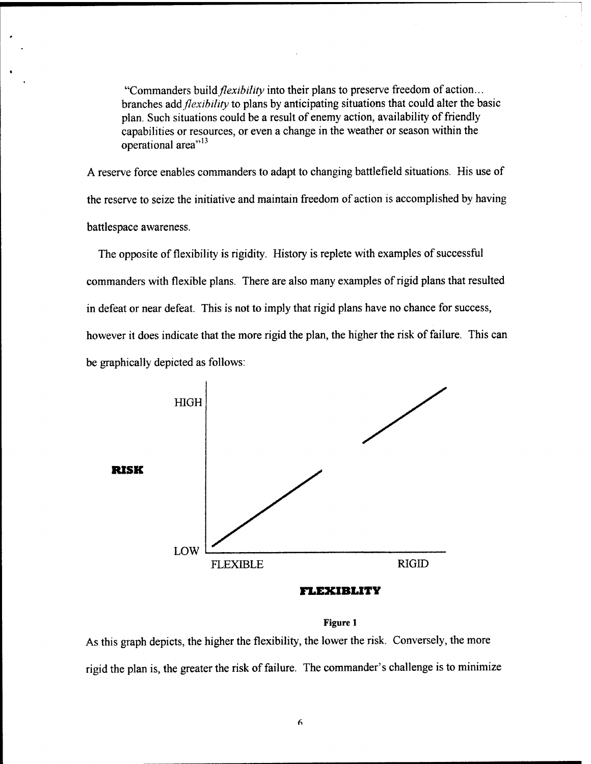"Commanders build *flexibility* into their plans to preserve freedom of action... branches add *flexibility* to plans by anticipating situations that could alter the basic plan. Such situations could be a result of enemy action, availability of friendly capabilities or resources, or even a change in the weather or season within the  $\overline{\text{1}}$  operational area<sup>" 13</sup>

A reserve force enables commanders to adapt to changing battlefield situations. His use of the reserve to seize the initiative and maintain freedom of action is accomplished by having battlespace awareness.

The opposite of flexibility is rigidity. History is replete with examples of successful commanders with flexible plans. There are also many examples of rigid plans that resulted in defeat or near defeat. This is not to imply that rigid plans have no chance for success, however it does indicate that the more rigid the plan, the higher the risk of failure. This can be graphically depicted as follows:



#### **Figure <sup>1</sup>**

As this graph depicts, the higher the flexibility, the lower the risk. Conversely, the more rigid the plan is, the greater the risk of failure. The commander's challenge is to minimize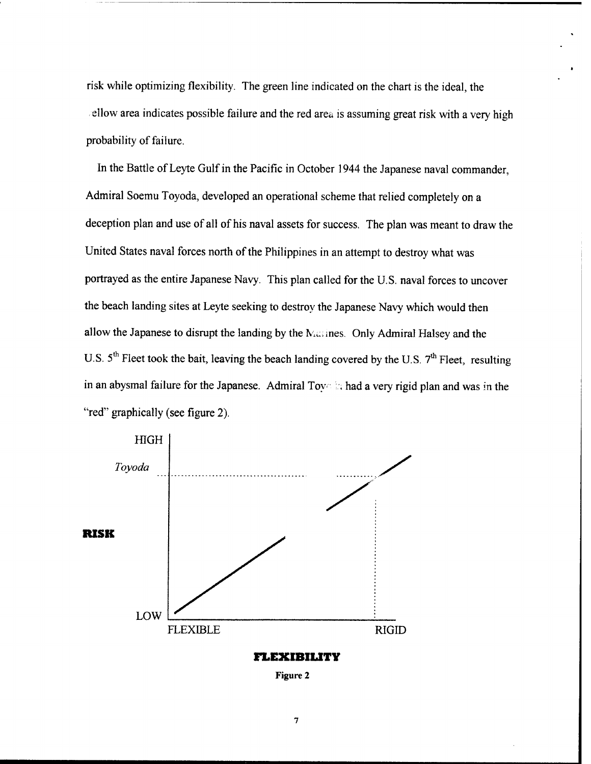risk while optimizing flexibility. The green line indicated on the chart is the ideal, the ellow area indicates possible failure and the red area is assuming great risk with a very high probability of failure.

In the Battle of Leyte Gulf in the Pacific in October 1944 the Japanese naval commander, Admiral Soemu Toyoda, developed an operational scheme that relied completely on a deception plan and use of all of his naval assets for success. The plan was meant to draw the United States naval forces north of the Philippines in an attempt to destroy what was portrayed as the entire Japanese Navy. This plan called for the U.S. naval forces to uncover the beach landing sites at Leyte seeking to destroy the Japanese Navy which would then allow the Japanese to disrupt the landing by the Massines. Only Admiral Halsey and the U.S.  $5^{th}$  Fleet took the bait, leaving the beach landing covered by the U.S.  $7^{th}$  Fleet, resulting in an abysmal failure for the Japanese. Admiral Toy h had a very rigid plan and was in the "red" graphically (see figure 2).



**FLEXIBILITY**

**Figure 2**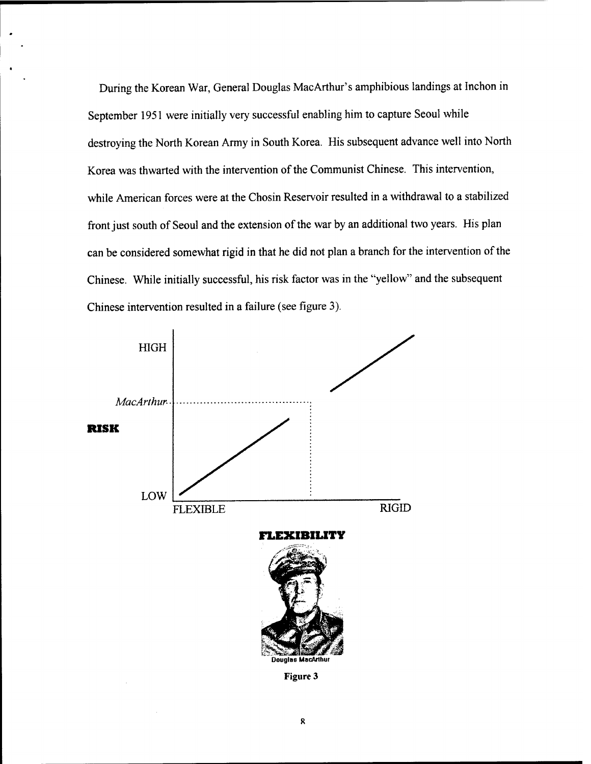During the Korean War, General Douglas MacArthur's amphibious landings at Inchon in September 1951 were initially very successful enabling him to capture Seoul while destroying the North Korean Army in South Korea. His subsequent advance well into North Korea was thwarted with the intervention of the Communist Chinese. This intervention, while American forces were at the Chosin Reservoir resulted in a withdrawal to a stabilized front just south of Seoul and the extension of the war by an additional two years. His plan can be considered somewhat rigid in that he did not plan a branch for the intervention of the Chinese. While initially successful, his risk factor was in the "yellow" and the subsequent Chinese intervention resulted in a failure (see figure 3).



**Figure 3**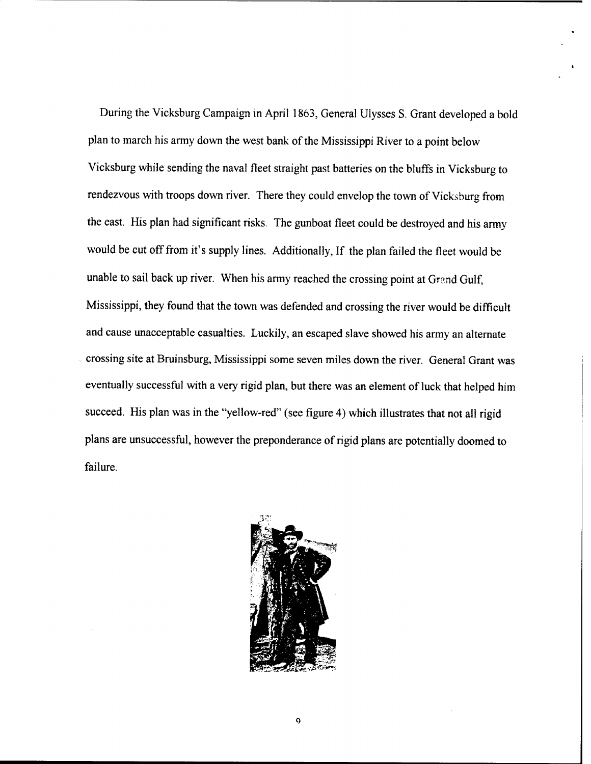During the Vicksburg Campaign in April 1863, General Ulysses S. Grant developed a bold plan to march his army down the west bank of the Mississippi River to a point below Vicksburg while sending the naval fleet straight past batteries on the bluffs in Vicksburg to rendezvous with troops down river. There they could envelop the town of Vicksburg from the east. His plan had significant risks. The gunboat fleet could be destroyed and his army would be cut off from it's supply lines. Additionally, If the plan failed the fleet would be unable to sail back up river. When his army reached the crossing point at Grand Gulf, Mississippi, they found that the town was defended and crossing the river would be difficult and cause unacceptable casualties. Luckily, an escaped slave showed his army an alternate crossing site at Bruinsburg, Mississippi some seven miles down the river. General Grant was eventually successful with a very rigid plan, but there was an element of luck that helped him succeed. His plan was in the "yellow-red" (see figure 4) which illustrates that not all rigid plans are unsuccessful, however the preponderance of rigid plans are potentially doomed to failure.

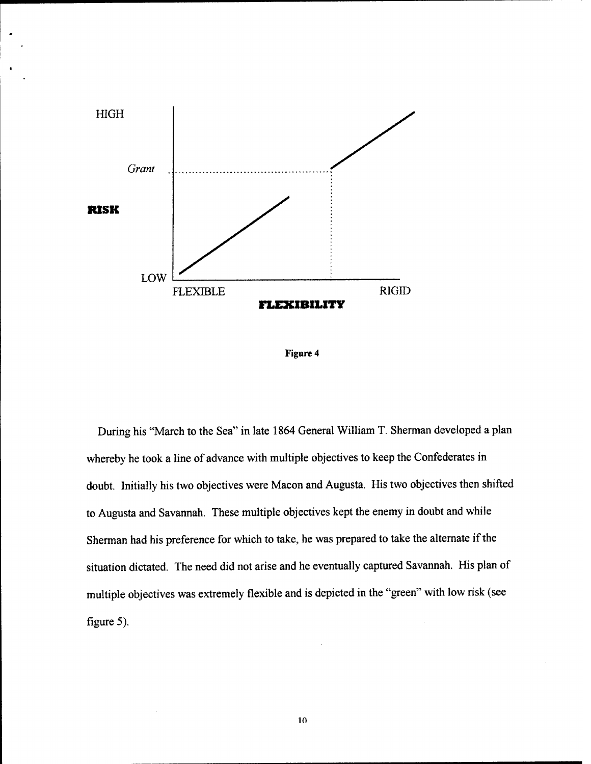

**Figure 4**

During his "March to the Sea" in late 1864 General William T. Sherman developed a plan whereby he took a line of advance with multiple objectives to keep the Confederates in doubt. Initially his two objectives were Macon and Augusta. His two objectives then shifted to Augusta and Savannah. These multiple objectives kept the enemy in doubt and while Sherman had his preference for which to take, he was prepared to take the alternate if the situation dictated. The need did not arise and he eventually captured Savannah. His plan of multiple objectives was extremely flexible and is depicted in the "green" with low risk (see figure 5).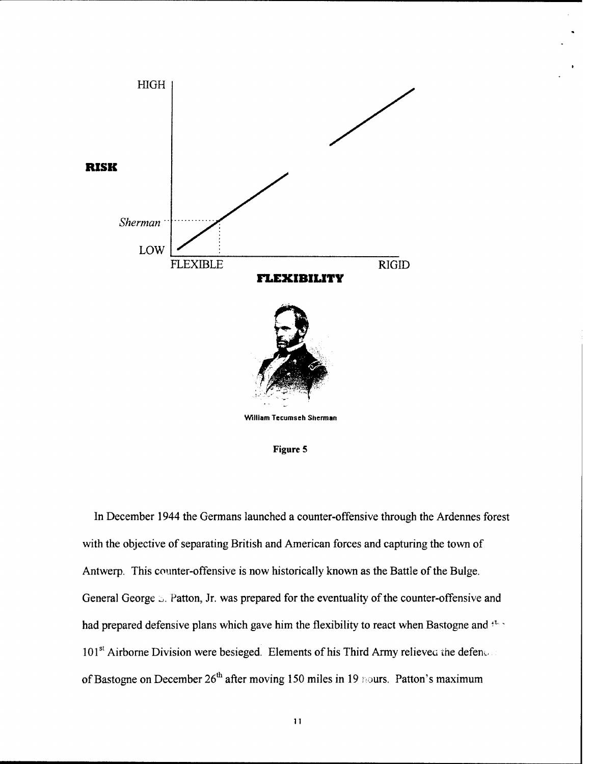

**Figure 5**

In December 1944 the Germans launched a counter-offensive through the Ardennes forest with the objective of separating British and American forces and capturing the town of Antwerp. This counter-offensive is now historically known as the Battle of the Bulge. General George  $\triangleright$ . Patton, Jr. was prepared for the eventuality of the counter-offensive and had prepared defensive plans which gave him the flexibility to react when Bastogne and  $t^{\text{th}}$  $101<sup>st</sup>$  Airborne Division were besieged. Elements of his Third Army relieved the defender of Bastogne on December  $26<sup>th</sup>$  after moving 150 miles in 19 nours. Patton's maximum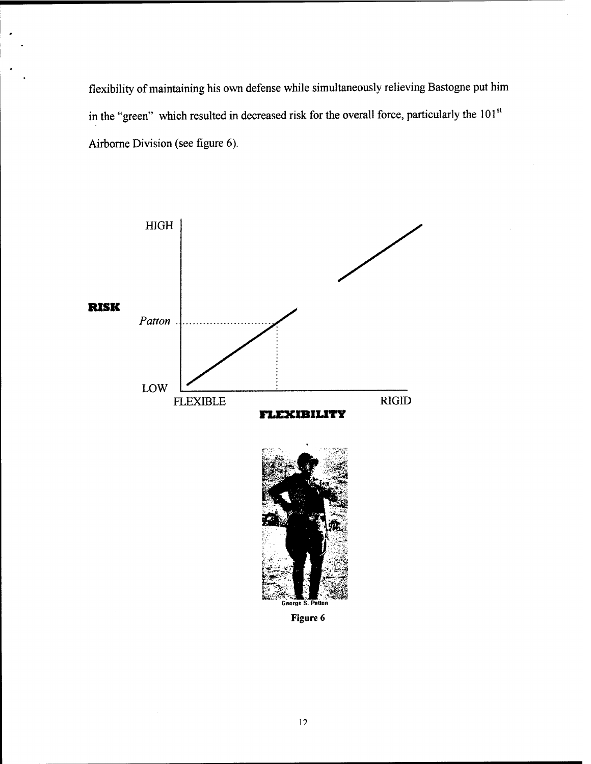flexibility of maintaining his own defense while simultaneously relieving Bastogne put him in the "green" which resulted in decreased risk for the overall force, particularly the 101<sup>st</sup> Airborne Division (see figure 6).

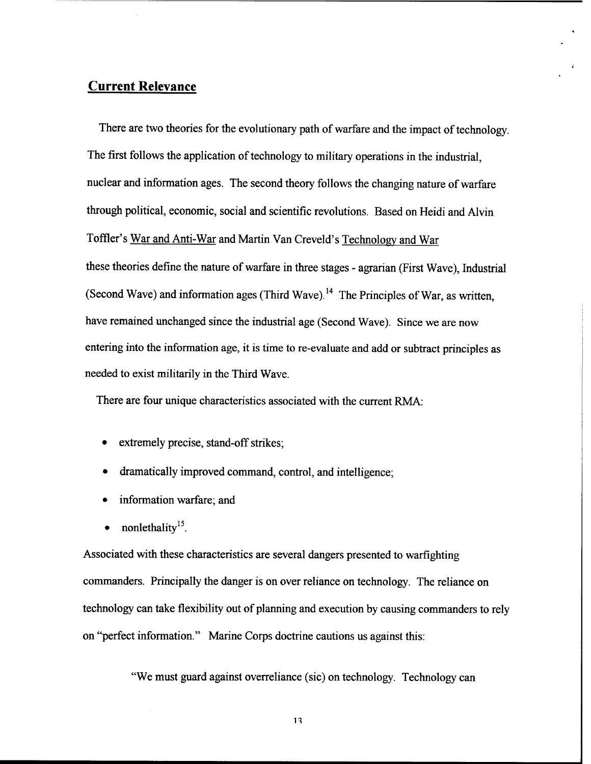## **Current Relevance**

There are two theories for the evolutionary path of warfare and the impact of technology. The first follows the application of technology to military operations in the industrial, nuclear and information ages. The second theory follows the changing nature of warfare through political, economic, social and scientific revolutions. Based on Heidi and Alvin Toffler's War and Anti-War and Martin Van Creveld's Technology and War these theories define the nature of warfare in three stages - agrarian (First Wave), Industrial (Second Wave) and information ages (Third Wave).<sup>14</sup> The Principles of War, as written, have remained unchanged since the industrial age (Second Wave). Since we are now entering into the information age, it is time to re-evaluate and add or subtract principles as needed to exist militarily in the Third Wave.

There are four unique characteristics associated with the current RMA:

- extremely precise, stand-off strikes;
- dramatically improved command, control, and intelligence;
- information warfare; and
- nonlethality<sup>15</sup>.

Associated with these characteristics are several dangers presented to warfighting commanders. Principally the danger is on over reliance on technology. The reliance on technology can take flexibility out of planning and execution by causing commanders to rely on "perfect information." Marine Corps doctrine cautions us against this:

"We must guard against overreliance (sic) on technology. Technology can

n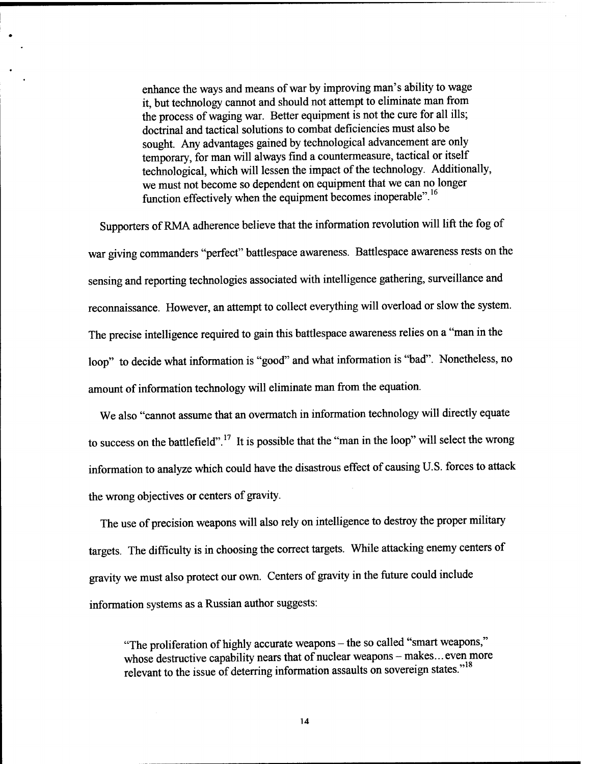enhance the ways and means of war by improving man's ability to wage it, but technology cannot and should not attempt to eliminate man from the process of waging war. Better equipment is not the cure for all ills; doctrinal and tactical solutions to combat deficiencies must also be sought. Any advantages gained by technological advancement are only temporary, for man will always find a countermeasure, tactical or itself technological, which will lessen the impact of the technology. Additionally, we must not become so dependent on equipment that we can no longer function effectively when the equipment becomes inoperable".<sup>16</sup>

Supporters of RMA adherence believe that the information revolution will lift the fog of war giving commanders "perfect" battlespace awareness. Battlespace awareness rests on the sensing and reporting technologies associated with intelligence gathering, surveillance and reconnaissance. However, an attempt to collect everything will overload or slow the system. The precise intelligence required to gain this battlespace awareness relies on a "man in the loop" to decide what information is "good" and what information is "bad". Nonetheless, no amount of information technology will eliminate man from the equation.

We also "cannot assume that an overmatch in information technology will directly equate to success on the battlefield".<sup>17</sup> It is possible that the "man in the loop" will select the wrong information to analyze which could have the disastrous effect of causing U.S. forces to attack the wrong objectives or centers of gravity.

The use of precision weapons will also rely on intelligence to destroy the proper military targets. The difficulty is in choosing the correct targets. While attacking enemy centers of gravity we must also protect our own. Centers of gravity in the future could include information systems as a Russian author suggests:

"The proliferation of highly accurate weapons – the so called "smart weapons," whose destructive capability nears that of nuclear weapons - makes... even more relevant to the issue of deterring information assaults on sovereign states."<sup>18</sup>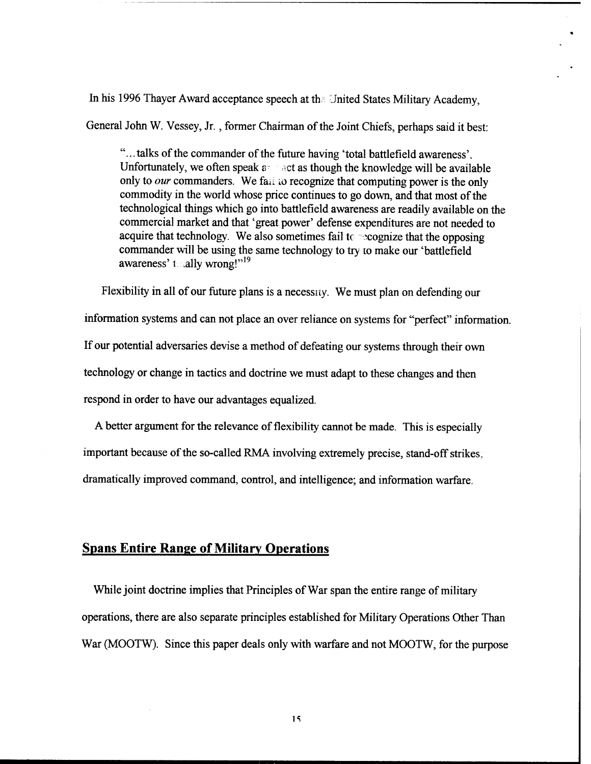In his 1996 Thayer Award acceptance speech at the United States Military Academy,

General John W. Vessey, Jr., former Chairman of the Joint Chiefs, perhaps said it best:

"...talks of the commander of the future having 'total battlefield awareness'. Unfortunately, we often speak  $a = \arctan a$  act as though the knowledge will be available only to *our* commanders. We fail to recognize that computing power is the only commodity in the world whose price continues to go down, and that most of the technological things which go into battlefield awareness are readily available on the commercial market and that 'great power' defense expenditures are not needed to acquire that technology. We also sometimes fail to  $\infty$  cognize that the opposing commander will be using the same technology to try to make our 'battlefield awareness' t .ally wrong!"<sup>19</sup>

Flexibility in all of our future plans is a necessity. We must plan on defending our information systems and can not place an over reliance on systems for "perfect" information. If our potential adversaries devise a method of defeating our systems through their own technology or change in tactics and doctrine we must adapt to these changes and then respond in order to have our advantages equalized.

A better argument for the relevance of flexibility cannot be made. This is especially important because of the so-called RMA involving extremely precise, stand-off strikes. dramatically improved command, control, and intelligence; and information warfare.

## Spans Entire Range of Military Operations

While joint doctrine implies that Principles of War span the entire range of military operations, there are also separate principles established for Military Operations Other Than War (MOOTW). Since this paper deals only with warfare and not MOOTW, for the purpose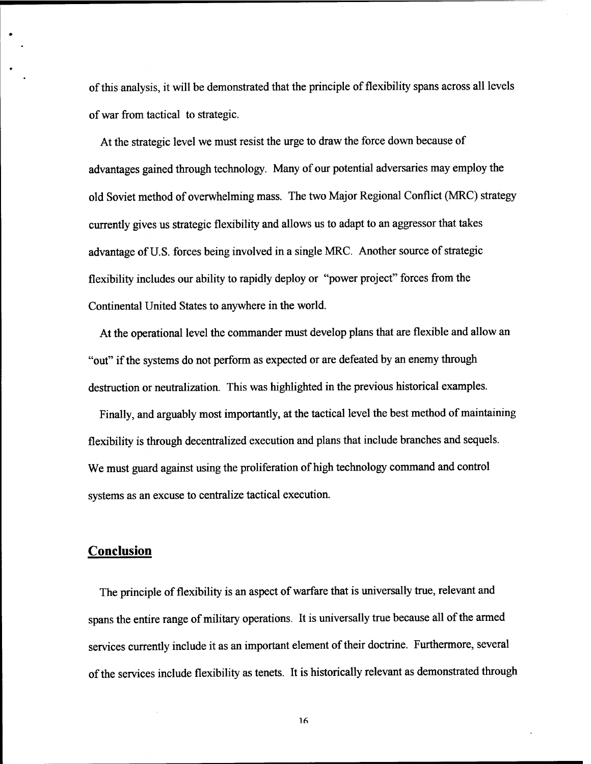of this analysis, it will be demonstrated that the principle of flexibility spans across all levels ofwar from tactical to strategic.

At the strategic level we must resist the urge to draw the force down because of advantages gained through technology. Many of our potential adversaries may employ the old Soviet method of overwhelming mass. The two Major Regional Conflict (MRC) strategy currently gives us strategic flexibility and allows us to adapt to an aggressor that takes advantage of U.S. forces being involved in a single MRC. Another source of strategic flexibility includes our ability to rapidly deploy or "power project" forces from the Continental United States to anywhere in the world.

At the operational level the commander must develop plans that are flexible and allow an "out" if the systems do not perform as expected or are defeated by an enemy through destruction or neutralization. This was highlighted in the previous historical examples.

Finally, and arguably most importantly, at the tactical level the best method of maintaining flexibility is through decentralized execution and plans that include branches and sequels. We must guard against using the proliferation of high technology command and control systems as an excuse to centralize tactical execution.

### **Conclusion**

The principle of flexibility is an aspect of warfare that is universally true, relevant and spans the entire range of military operations. It is universally true because all of the armed services currently include it as an important element of their doctrine. Furthermore, several ofthe services include flexibility as tenets. It is historically relevant as demonstrated through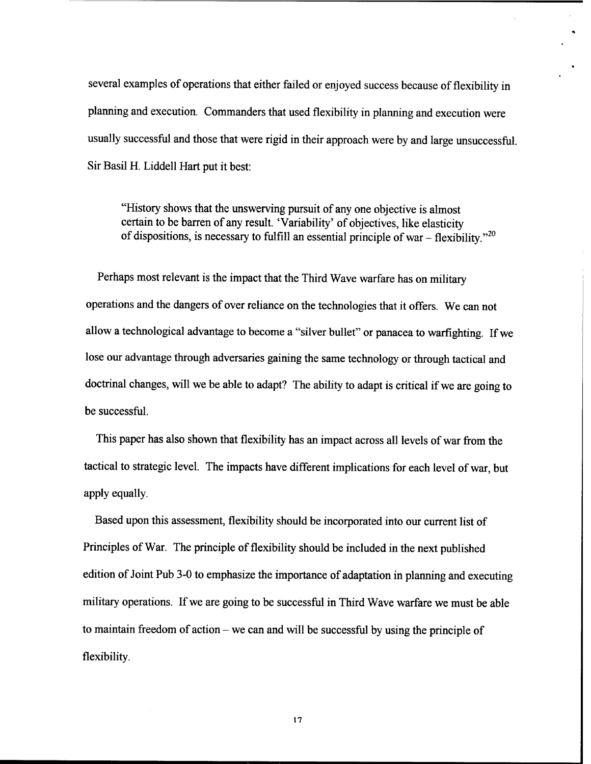several examples of operations that either failed or enjoyed success because of flexibility in planning and execution. Commanders that used flexibility in planning and execution were usually successful and those that were rigid in their approach were by and large unsuccessful. Sir Basil H. Liddell Hart put it best:

"History shows that the unswerving pursuit of any one objective is almost certain to be barren of any result. 'Variability' of objectives, like elasticity of dispositions, is necessary to fulfill an essential principle of war – flexibility."<sup>20</sup>

Perhaps most relevant is the impact that the Third Wave warfare has on military operations and the dangers of over reliance on the technologies that it offers. We can not allow a technological advantage to become a "silver bullet" or panacea to warfighting. If we lose our advantage through adversaries gaining the same technology or through tactical and doctrinal changes, will we be able to adapt? The ability to adapt is critical if we are going to be successful.

This paper has also shown that flexibility has an impact across all levels of war from the tactical to strategic level. The impacts have different implications for each level of war, but apply equally.

Based upon this assessment, flexibility should be incorporated into our current list of Principles of War. The principle of flexibility should be included in the next published edition of Joint Pub 3-0 to emphasize the importance of adaptation in planning and executing military operations. If we are going to be successful in Third Wave warfare we must be able to maintain freedom of action - we can and will be successful by using the principle of flexibility.

**17**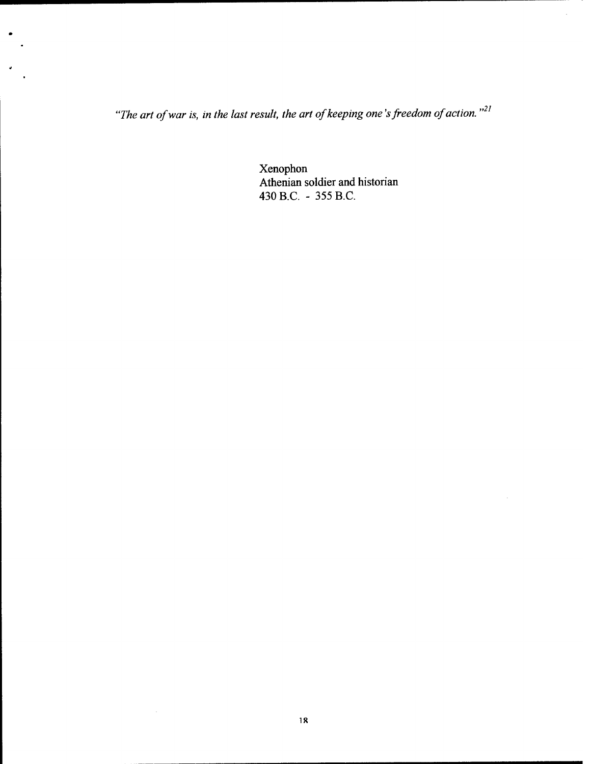*<sup>71</sup> "The art ofwar is, in the last result, the art ofkeeping one 'sfreedom ofaction."*

Xenophon Athenian soldier and historian 430 B.C. - 355 B.C.

 $\mathcal{A}^{\mathcal{A}}$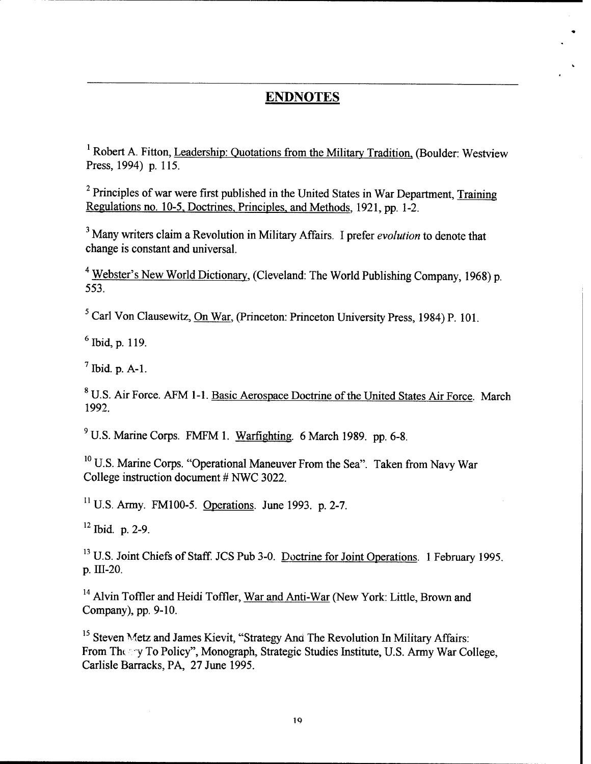# ENDNOTES

<sup>1</sup> Robert A. Fitton, Leadership: Quotations from the Military Tradition. (Boulder: Westview Press, 1994) p. 115.

 $<sup>2</sup>$  Principles of war were first published in the United States in War Department. Training</sup> Regulations no. 10-5. Doctrines. Principles, and Methods. 1921, pp. 1-2.

Many writers claim a Revolution in Military Affairs. I prefer *evolution* to denote that change is constant and universal.

<sup>4</sup> Webster's New World Dictionary. (Cleveland: The World Publishing Company, 1968) p. 553.

<sup>5</sup> Carl Von Clausewitz, On War. (Princeton: Princeton University Press, 1984) P. 101.

6 Ibid, p. 119.

 $<sup>7</sup>$  Ibid. p. A-1.</sup>

<sup>8</sup> U.S. Air Force. AFM 1-1. Basic Aerospace Doctrine of the United States Air Force. March 1992.

<sup>9</sup> U.S. Marine Corps. FMFM 1. Warfighting. 6 March 1989. pp. 6-8.

<sup>10</sup> U.S. Marine Corps. "Operational Maneuver From the Sea". Taken from Navy War College instruction document # NWC 3022.

 $11$  U.S. Army. FM100-5. Operations. June 1993. p. 2-7.

<sup>12</sup> Ibid. p. 2-9.

<sup>13</sup> U.S. Joint Chiefs of Staff. JCS Pub 3-0. Doctrine for Joint Operations. 1 February 1995. p. UI-20.

<sup>14</sup> Alvin Toffler and Heidi Toffler, War and Anti-War (New York: Little, Brown and Company), pp. 9-10.

<sup>15</sup> Steven Metz and James Kievit, "Strategy And The Revolution In Military Affairs: From The y To Policy", Monograph, Strategic Studies Institute, U.S. Army War College, Carlisle Barracks, PA, 27 June 1995.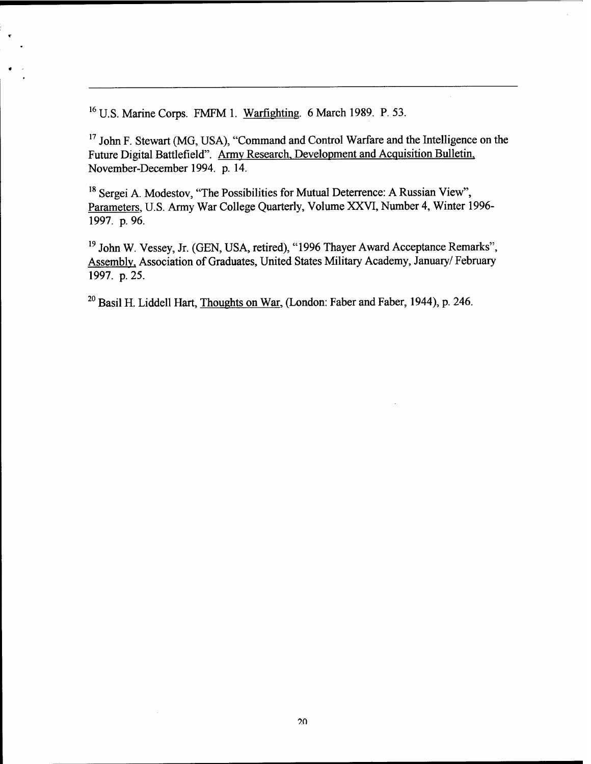**<sup>16</sup>** U.S. Marine Corps. FMFM 1. Warfighting. 6 March 1989. P. 53.

<sup>17</sup> John F. Stewart (MG, USA), "Command and Control Warfare and the Intelligence on the Future Digital Battlefield". Army Research, Development and Acquisition Bulletin. November-December 1994. p. 14.

<sup>18</sup> Sergei A. Modestov, "The Possibilities for Mutual Deterrence: A Russian View", Parameters. U.S. Army War College Quarterly, Volume XXVI, Number 4, Winter 1996- 1997. p. 96.

<sup>19</sup> John W. Vessey, Jr. (GEN, USA, retired), "1996 Thayer Award Acceptance Remarks", Assembly, Association of Graduates, United States Military Academy, January/ February 1997. p. 25.

<sup>20</sup> Basil H. Liddell Hart, Thoughts on War, (London: Faber and Faber, 1944), p. 246.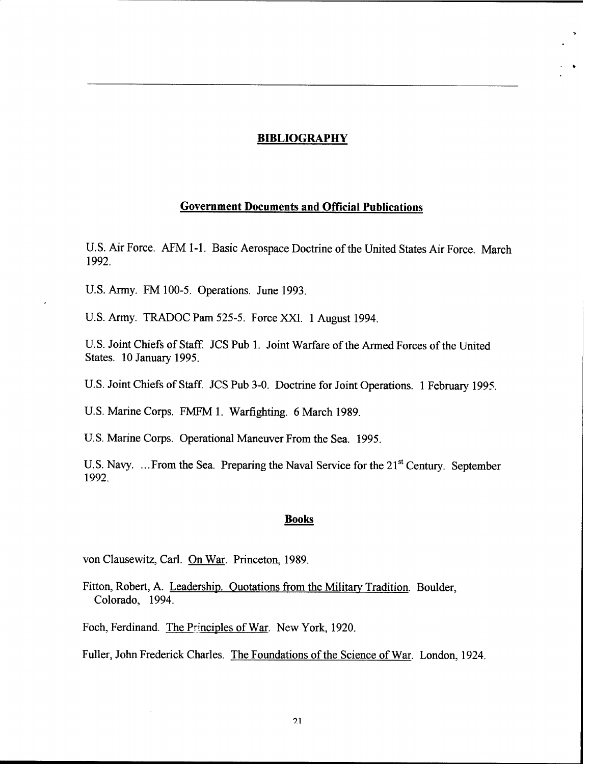### **BIBLIOGRAPHY**

## **Government Documents and Official Publications**

U.S. Air Force. AFM 1-1. Basic Aerospace Doctrine of the United States Air Force. March 1992.

U.S. Army. FM 100-5. Operations. June 1993.

U.S. Army. TRADOC Pam 525-5. Force XXI. <sup>1</sup> August 1994.

U.S. Joint Chiefs of Staff. JCS Pub 1. Joint Warfare of the Armed Forces of the United States. 10 January 1995.

U.S. Joint Chiefs of Staff. JCS Pub 3-0. Doctrine for Joint Operations. <sup>1</sup> February 1995.

U.S. Marine Corps. FMFM 1. Warfighting. 6 March 1989.

U.S. Marine Corps. Operational Maneuver From the Sea. 1995.

U.S. Navy. ... From the Sea. Preparing the Naval Service for the 21<sup>st</sup> Century. September 1992.

#### **Books**

von Clausewitz, Carl. On War. Princeton, 1989.

Fitton, Robert, A. Leadership. Quotations from the Military Tradition. Boulder, Colorado, 1994.

Foch, Ferdinand. The Principles of War. New York, 1920.

Fuller, John Frederick Charles. The Foundations of the Science of War. London, 1924.